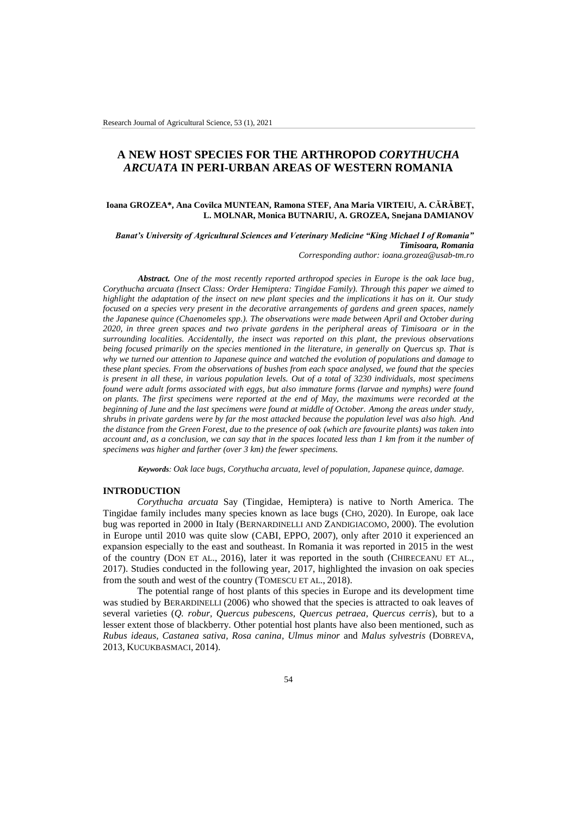# **A NEW HOST SPECIES FOR THE ARTHROPOD** *CORYTHUCHA ARCUATA* **IN PERI-URBAN AREAS OF WESTERN ROMANIA**

## **Ioana GROZEA\*, Ana Covilca MUNTEAN, Ramona STEF, Ana Maria VIRTEIU, A. CĂRĂBEȚ, L. MOLNAR, Monica BUTNARIU, A. GROZEA, Snejana DAMIANOV**

*Banat's University of Agricultural Sciences and Veterinary Medicine "King Michael I of Romania" Timisoara, Romania Corresponding author: ioana.grozea@usab-tm.ro*

*Abstract. One of the most recently reported arthropod species in Europe is the oak lace bug, Corythucha arcuata (Insect Class: Order Hemiptera: Tingidae Family). Through this paper we aimed to highlight the adaptation of the insect on new plant species and the implications it has on it. Our study focused on a species very present in the decorative arrangements of gardens and green spaces, namely the Japanese quince (Chaenomeles spp.). The observations were made between April and October during 2020, in three green spaces and two private gardens in the peripheral areas of Timisoara or in the surrounding localities. Accidentally, the insect was reported on this plant, the previous observations being focused primarily on the species mentioned in the literature, in generally on Quercus sp. That is why we turned our attention to Japanese quince and watched the evolution of populations and damage to these plant species. From the observations of bushes from each space analysed, we found that the species is present in all these, in various population levels. Out of a total of 3230 individuals, most specimens found were adult forms associated with eggs, but also immature forms (larvae and nymphs) were found on plants. The first specimens were reported at the end of May, the maximums were recorded at the beginning of June and the last specimens were found at middle of October. Among the areas under study, shrubs in private gardens were by far the most attacked because the population level was also high. And the distance from the Green Forest, due to the presence of oak (which are favourite plants) was taken into account and, as a conclusion, we can say that in the spaces located less than 1 km from it the number of specimens was higher and farther (over 3 km) the fewer specimens.*

*Keywords: Oak lace bugs, Corythucha arcuata, level of population, Japanese quince, damage.*

#### **INTRODUCTION**

*Corythucha arcuata* Say (Tingidae, Hemiptera) is native to North America. The Tingidae family includes many species known as lace bugs (CHO, 2020). In Europe, oak lace bug was reported in 2000 in Italy (BERNARDINELLI AND ZANDIGIACOMO, 2000). The evolution in Europe until 2010 was quite slow (CABI, EPPO, 2007), only after 2010 it experienced an expansion especially to the east and southeast. In Romania it was reported in 2015 in the west of the country (DON ET AL., 2016), later it was reported in the south (CHIRECEANU ET AL., 2017). Studies conducted in the following year, 2017, highlighted the invasion on oak species from the south and west of the country (TOMESCU ET AL., 2018).

The potential range of host plants of this species in Europe and its development time was studied by BERARDINELLI (2006) who showed that the species is attracted to oak leaves of several varieties (*Q. robur, Quercus pubescens, Quercus petraea, Quercus cerris*), but to a lesser extent those of blackberry. Other potential host plants have also been mentioned, such as *Rubus ideaus, Castanea sativa, Rosa canina, Ulmus minor* and *Malus sylvestris* (DOBREVA, 2013, KUCUKBASMACI, 2014).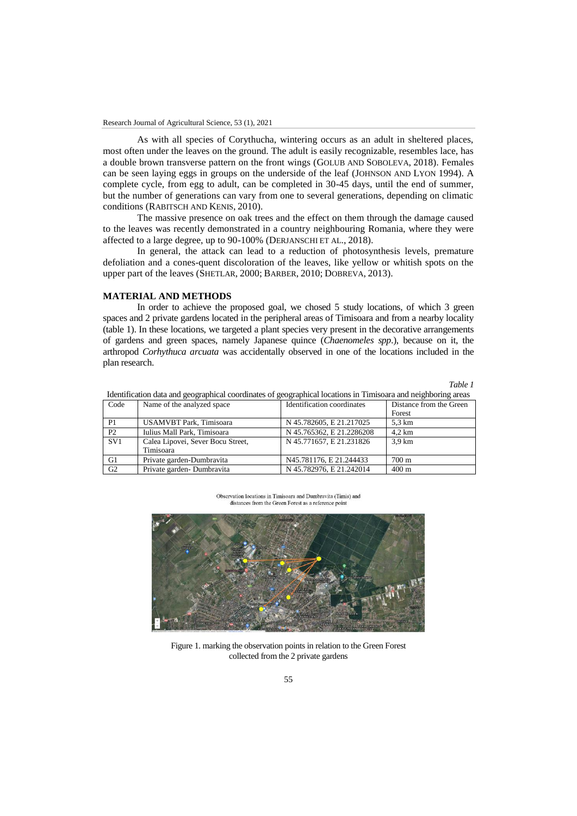As with all species of Corythucha, wintering occurs as an adult in sheltered places, most often under the leaves on the ground. The adult is easily recognizable, resembles lace, has a double brown transverse pattern on the front wings (GOLUB AND SOBOLEVA, 2018). Females can be seen laying eggs in groups on the underside of the leaf (JOHNSON AND LYON 1994). A complete cycle, from egg to adult, can be completed in 30-45 days, until the end of summer, but the number of generations can vary from one to several generations, depending on climatic conditions (RABITSCH AND KENIS, 2010).

The massive presence on oak trees and the effect on them through the damage caused to the leaves was recently demonstrated in a country neighbouring Romania, where they were affected to a large degree, up to 90-100% (DERJANSCHI ET AL., 2018).

In general, the attack can lead to a reduction of photosynthesis levels, premature defoliation and a cones-quent discoloration of the leaves, like yellow or whitish spots on the upper part of the leaves (SHETLAR, 2000; BARBER, 2010; DOBREVA, 2013).

## **MATERIAL AND METHODS**

In order to achieve the proposed goal, we chosed 5 study locations, of which 3 green spaces and 2 private gardens located in the peripheral areas of Timisoara and from a nearby locality (table 1). In these locations, we targeted a plant species very present in the decorative arrangements of gardens and green spaces, namely Japanese quince (*Chaenomeles spp*.), because on it, the arthropod *Corhythuca arcuata* was accidentally observed in one of the locations included in the plan research.

*Table 1*

|                |                                                | .                          | $\sim$                  |
|----------------|------------------------------------------------|----------------------------|-------------------------|
| Code           | Name of the analyzed space                     | Identification coordinates | Distance from the Green |
|                |                                                |                            | Forest                  |
| P <sub>1</sub> | USAMVBT Park, Timisoara                        | N 45.782605, E 21.217025   | 5.3 km                  |
| P2             | Iulius Mall Park, Timisoara                    | N 45.765362, E 21.2286208  | $4.2 \text{ km}$        |
| SV1            | Calea Lipovei, Sever Bocu Street,<br>Timisoara | N 45.771657, E 21.231826   | 3.9 km                  |
| G1             | Private garden-Dumbravita                      | N45.781176, E 21.244433    | 700 m                   |
| G <sub>2</sub> | Private garden-Dumbravita                      | N 45.782976, E 21.242014   | $400 \text{ m}$         |
|                |                                                |                            |                         |

Identification data and geographical coordinates of geographical locations in Timisoara and neighboring areas

Observation locations in Timisoara and Dumbravita (Timis) and distances from the Green Forest as a reference point



Figure 1. marking the observation points in relation to the Green Forest collected from the 2 private gardens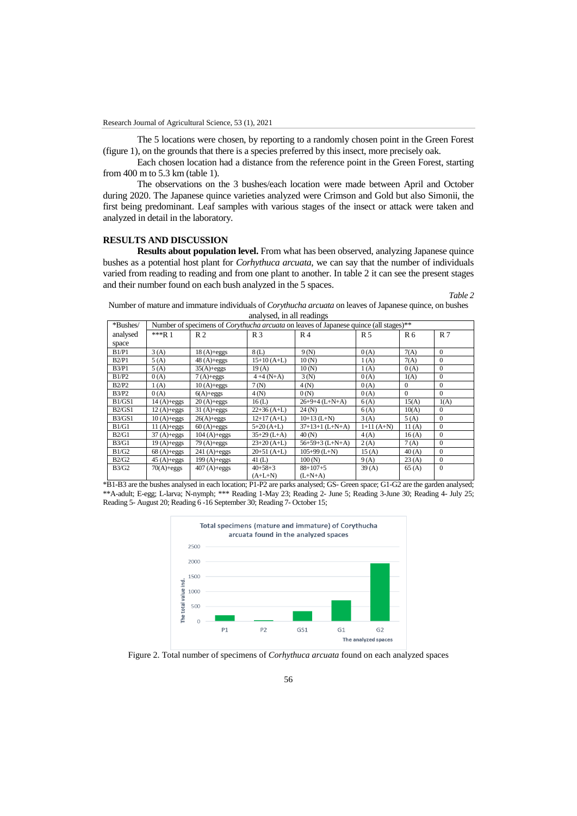The 5 locations were chosen, by reporting to a randomly chosen point in the Green Forest (figure 1), on the grounds that there is a species preferred by this insect, more precisely oak.

Each chosen location had a distance from the reference point in the Green Forest, starting from 400 m to 5.3 km (table 1).

The observations on the 3 bushes/each location were made between April and October during 2020. The Japanese quince varieties analyzed were Crimson and Gold but also Simonii, the first being predominant. Leaf samples with various stages of the insect or attack were taken and analyzed in detail in the laboratory.

### **RESULTS AND DISCUSSION**

**Results about population level.** From what has been observed, analyzing Japanese quince bushes as a potential host plant for *Corhythuca arcuata*, we can say that the number of individuals varied from reading to reading and from one plant to another. In table 2 it can see the present stages and their number found on each bush analyzed in the 5 spaces.

*Table 2*

Number of mature and immature individuals of *Corythucha arcuata* on leaves of Japanese quince, on bushes analysed, in all readings

| *Bushes/     | Number of specimens of <i>Corythucha arcuata</i> on leaves of Japanese quince (all stages)** |                |                |                   |                |                |                |
|--------------|----------------------------------------------------------------------------------------------|----------------|----------------|-------------------|----------------|----------------|----------------|
| analysed     | $**R$ 1                                                                                      | R <sub>2</sub> | R <sub>3</sub> | R <sub>4</sub>    | R <sub>5</sub> | R <sub>6</sub> | R <sub>7</sub> |
| space        |                                                                                              |                |                |                   |                |                |                |
| B1/P1        | 3(A)                                                                                         | $18(A)+eggs$   | 8(L)           | 9(N)              | 0(A)           | 7(A)           | $\Omega$       |
| B2/P1        | 5(A)                                                                                         | $48(A)+eggs$   | $15+10(A+L)$   | 10(N)             | 1(A)           | 7(A)           | $\mathbf{0}$   |
| B3/P1        | 5(A)                                                                                         | $35(A)+eggs$   | 19(A)          | 10(N)             | 1(A)           | 0(A)           | $\mathbf{0}$   |
| B1/P2        | 0(A)                                                                                         | $7(A)+eggs$    | $4 + 4(N+A)$   | 3(N)              | 0(A)           | 1(A)           | $\mathbf{0}$   |
| B2/P2        | 1(A)                                                                                         | $10(A)+eggs$   | 7(N)           | 4(N)              | 0(A)           | $\Omega$       | $\mathbf{0}$   |
| <b>B3/P2</b> | 0(A)                                                                                         | $6(A)+eggs$    | 4(N)           | 0(N)              | 0(A)           | $\Omega$       | $\Omega$       |
| B1/GS1       | $14(A)+eggs$                                                                                 | $20(A)+eggs$   | 16(L)          | $26+9+4$ (L+N+A)  | 6(A)           | 15(A)          | 1(A)           |
| B2/GS1       | $12(A)+eggs$                                                                                 | $31(A)+eggs$   | $22+36(A+L)$   | 24(N)             | 6(A)           | 10(A)          | $\mathbf{0}$   |
| B3/GS1       | $10(A)+eggs$                                                                                 | $26(A)+eggs$   | $12+17(A+L)$   | $10+13$ (L+N)     | 3(A)           | 5(A)           | $\Omega$       |
| B1/G1        | $11(A)+eggs$                                                                                 | $60(A)+eggs$   | $5+20(A+L)$    | $37+13+1$ (L+N+A) | $1+11(A+N)$    | 11(A)          | $\mathbf{0}$   |
| B2/G1        | $37(A)+eggs$                                                                                 | $104(A)+eggs$  | $35+29$ (L+A)  | 40(N)             | 4(A)           | 16(A)          | $\mathbf{0}$   |
| B3/G1        | $19(A)+eggs$                                                                                 | $79(A)+eggs$   | $23+20(A+L)$   | $56+59+3$ (L+N+A) | 2(A)           | 7(A)           | $\mathbf{0}$   |
| B1/G2        | $68(A)+eggs$                                                                                 | $241(A)+eggs$  | $20+51$ (A+L)  | $105+99$ (L+N)    | 15(A)          | 40(A)          | $\Omega$       |
| B2/G2        | $45(A)+eggs$                                                                                 | $199(A)+eggs$  | 41 $(L)$       | 100(N)            | 9(A)           | 23(A)          | $\mathbf{0}$   |
| B3/G2        | $70(A)+eggs$                                                                                 | $407(A)+eggs$  | $40+58+3$      | $88+107+5$        | 39(A)          | 65(A)          | $\mathbf{0}$   |
|              |                                                                                              |                | $(A+L+N)$      | $(L+N+A)$         |                |                |                |

\*B1-B3 are the bushes analysed in each location; P1-P2 are parks analysed; GS- Green space; G1-G2 are the garden analysed; \*\*A-adult; E-egg; L-larva; N-nymph; \*\*\* Reading 1-May 23; Reading 2- June 5; Reading 3-June 30; Reading 4- July 25; Reading 5- August 20; Reading 6 -16 September 30; Reading 7- October 15;



Figure 2. Total number of specimens of *Corhythuca arcuata* found on each analyzed spaces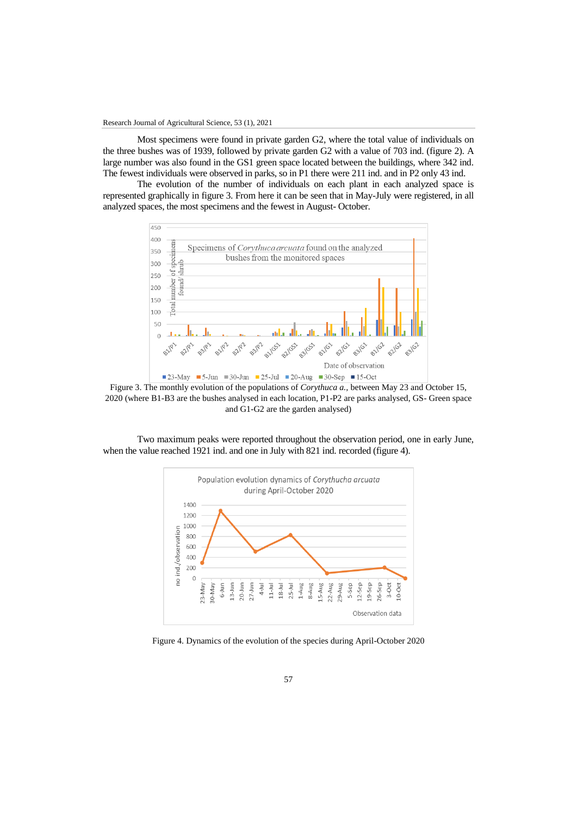Most specimens were found in private garden G2, where the total value of individuals on the three bushes was of 1939, followed by private garden G2 with a value of 703 ind. (figure 2). A large number was also found in the GS1 green space located between the buildings, where 342 ind. The fewest individuals were observed in parks, so in P1 there were 211 ind. and in P2 only 43 ind.

The evolution of the number of individuals on each plant in each analyzed space is represented graphically in figure 3. From here it can be seen that in May-July were registered, in all analyzed spaces, the most specimens and the fewest in August- October.



Figure 3. The monthly evolution of the populations of *Corythuca a.,* between May 23 and October 15, 2020 (where B1-B3 are the bushes analysed in each location, P1-P2 are parks analysed, GS- Green space and G1-G2 are the garden analysed)

Two maximum peaks were reported throughout the observation period, one in early June, when the value reached 1921 ind. and one in July with 821 ind. recorded (figure 4).



Figure 4. Dynamics of the evolution of the species during April-October 2020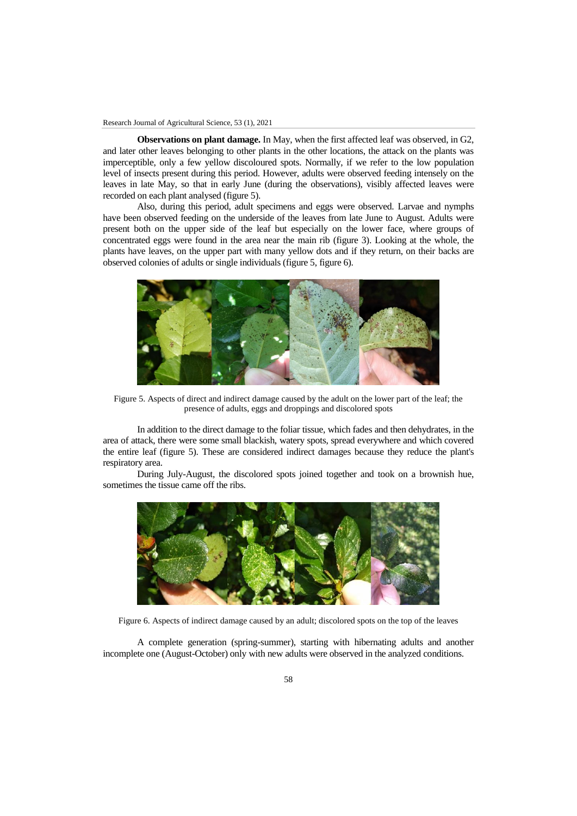**Observations on plant damage.** In May, when the first affected leaf was observed, in G2, and later other leaves belonging to other plants in the other locations, the attack on the plants was imperceptible, only a few yellow discoloured spots. Normally, if we refer to the low population level of insects present during this period. However, adults were observed feeding intensely on the leaves in late May, so that in early June (during the observations), visibly affected leaves were recorded on each plant analysed (figure 5).

Also, during this period, adult specimens and eggs were observed. Larvae and nymphs have been observed feeding on the underside of the leaves from late June to August. Adults were present both on the upper side of the leaf but especially on the lower face, where groups of concentrated eggs were found in the area near the main rib (figure 3). Looking at the whole, the plants have leaves, on the upper part with many yellow dots and if they return, on their backs are observed colonies of adults or single individuals (figure 5, figure 6).



Figure 5. Aspects of direct and indirect damage caused by the adult on the lower part of the leaf; the presence of adults, eggs and droppings and discolored spots

In addition to the direct damage to the foliar tissue, which fades and then dehydrates, in the area of attack, there were some small blackish, watery spots, spread everywhere and which covered the entire leaf (figure 5). These are considered indirect damages because they reduce the plant's respiratory area.

During July-August, the discolored spots joined together and took on a brownish hue, sometimes the tissue came off the ribs.



Figure 6. Aspects of indirect damage caused by an adult; discolored spots on the top of the leaves

A complete generation (spring-summer), starting with hibernating adults and another incomplete one (August-October) only with new adults were observed in the analyzed conditions.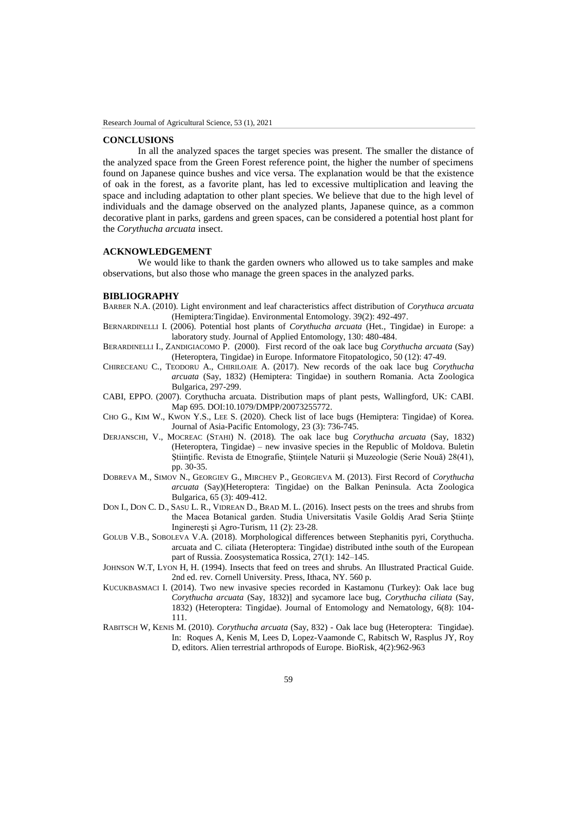#### **CONCLUSIONS**

In all the analyzed spaces the target species was present. The smaller the distance of the analyzed space from the Green Forest reference point, the higher the number of specimens found on Japanese quince bushes and vice versa. The explanation would be that the existence of oak in the forest, as a favorite plant, has led to excessive multiplication and leaving the space and including adaptation to other plant species. We believe that due to the high level of individuals and the damage observed on the analyzed plants, Japanese quince, as a common decorative plant in parks, gardens and green spaces, can be considered a potential host plant for the *Corythucha arcuata* insect.

## **ACKNOWLEDGEMENT**

We would like to thank the garden owners who allowed us to take samples and make observations, but also those who manage the green spaces in the analyzed parks.

#### **BIBLIOGRAPHY**

- BARBER N.A. (2010). Light environment and leaf characteristics affect distribution of *Corythuca arcuata* (Hemiptera:Tingidae). Environmental Entomology. 39(2): 492-497.
- BERNARDINELLI I. (2006). Potential host plants of *Corythucha arcuata* (Het., Tingidae) in Europe: a laboratory study. Journal of Applied Entomology, 130: 480-484.
- BERARDINELLI I., ZANDIGIACOMO P. (2000). First record of the oak lace bug *Corythucha arcuata* (Say) (Heteroptera, Tingidae) in Europe. Informatore Fitopatologico, 50 (12): 47-49.
- CHIRECEANU C., TEODORU A., CHIRILOAIE A. (2017). New records of the oak lace bug *Corythucha arcuata* (Say, 1832) (Hemiptera: Tingidae) in southern Romania. Acta Zoologica Bulgarica, 297-299.
- CABI, EPPO. (2007). Corythucha arcuata. Distribution maps of plant pests, Wallingford, UK: CABI. Map 695. DOI:10.1079/DMPP/20073255772.
- CHO G., KIM W., KWON Y.S., LEE S. (2020). Check list of lace bugs (Hemiptera: Tingidae) of Korea. Journal of Asia-Pacific Entomology, 23 (3): 736-745.
- DERJANSCHI, V., MOCREAC (STAHI) N. (2018). The oak lace bug *Corythucha arcuata* (Say, 1832) (Heteroptera, Tingidae) – new invasive species in the Republic of Moldova. Buletin Ştiinţific. Revista de Etnografie, Ştiinţele Naturii şi Muzeologie (Serie Nouă) 28(41), pp. 30-35.
- DOBREVA M., SIMOV N., GEORGIEV G., MIRCHEV P., GEORGIEVA M. (2013). First Record of *Corythucha arcuata* (Say)(Heteroptera: Tingidae) on the Balkan Peninsula. Acta Zoologica Bulgarica, 65 (3): 409-412.
- DON I., DON C. D., SASU L. R., VIDREAN D., BRAD M. L. (2016). Insect pests on the trees and shrubs from the Macea Botanical garden. Studia Universitatis Vasile Goldiș Arad Seria Științe Inginereşti şi Agro-Turism, 11 (2): 23-28.
- GOLUB V.B., SOBOLEVA V.A. (2018). Morphological differences between Stephanitis pyri, Corythucha. arcuata and C. ciliata (Heteroptera: Tingidae) distributed inthe south of the European part of Russia. Zoosystematica Rossica, 27(1): 142–145.
- JOHNSON W.T, LYON H, H. (1994). Insects that feed on trees and shrubs. An Illustrated Practical Guide. 2nd ed. rev. Cornell University. Press, Ithaca, NY. 560 p.
- KUCUKBASMACI I. (2014). Two new invasive species recorded in Kastamonu (Turkey): Oak lace bug *Corythucha arcuata* (Say, 1832)] and sycamore lace bug, *Corythucha ciliata* (Say, 1832) (Heteroptera: Tingidae). Journal of Entomology and Nematology, 6(8): 104- 111.
- RABITSCH W, KENIS M. (2010). *Corythucha arcuata* (Say, 832) Oak lace bug (Heteroptera: Tingidae). In: Roques A, Kenis M, Lees D, Lopez-Vaamonde C, Rabitsch W, Rasplus JY, Roy D, editors. Alien terrestrial arthropods of Europe. BioRisk, 4(2):962-963